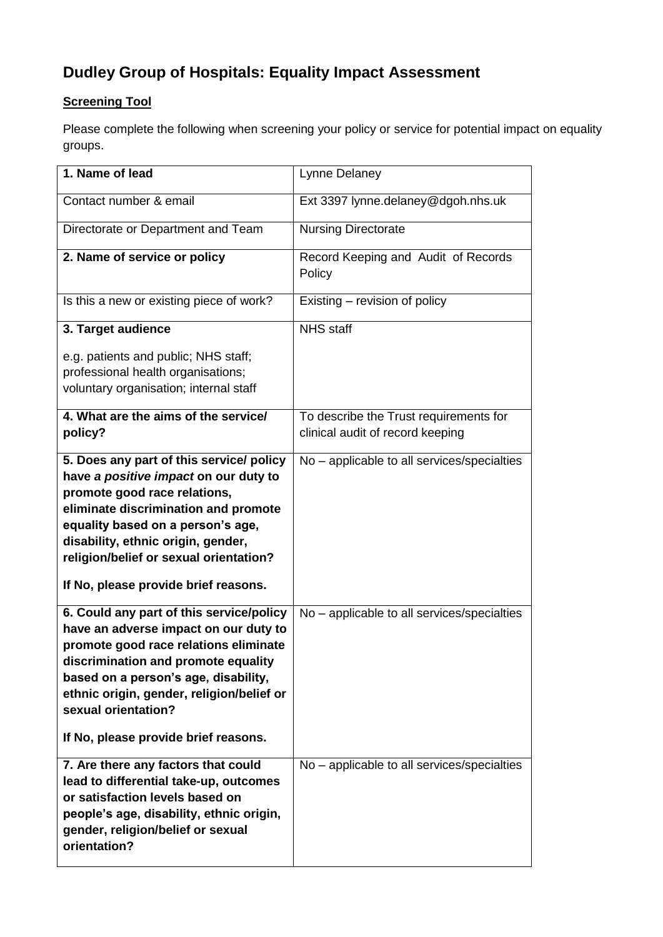## **Dudley Group of Hospitals: Equality Impact Assessment**

## **Screening Tool**

Please complete the following when screening your policy or service for potential impact on equality groups.

| 1. Name of lead                                                                                                                                                                                                                                                                                                        | Lynne Delaney                                                              |
|------------------------------------------------------------------------------------------------------------------------------------------------------------------------------------------------------------------------------------------------------------------------------------------------------------------------|----------------------------------------------------------------------------|
| Contact number & email                                                                                                                                                                                                                                                                                                 | Ext 3397 lynne.delaney@dgoh.nhs.uk                                         |
| Directorate or Department and Team                                                                                                                                                                                                                                                                                     | <b>Nursing Directorate</b>                                                 |
| 2. Name of service or policy                                                                                                                                                                                                                                                                                           | Record Keeping and Audit of Records<br>Policy                              |
| Is this a new or existing piece of work?                                                                                                                                                                                                                                                                               | Existing – revision of policy                                              |
| 3. Target audience                                                                                                                                                                                                                                                                                                     | <b>NHS</b> staff                                                           |
| e.g. patients and public; NHS staff;<br>professional health organisations;<br>voluntary organisation; internal staff                                                                                                                                                                                                   |                                                                            |
| 4. What are the aims of the service/<br>policy?                                                                                                                                                                                                                                                                        | To describe the Trust requirements for<br>clinical audit of record keeping |
| 5. Does any part of this service/ policy<br>have a positive impact on our duty to<br>promote good race relations,<br>eliminate discrimination and promote<br>equality based on a person's age,<br>disability, ethnic origin, gender,<br>religion/belief or sexual orientation?<br>If No, please provide brief reasons. | No - applicable to all services/specialties                                |
| 6. Could any part of this service/policy<br>have an adverse impact on our duty to<br>promote good race relations eliminate<br>discrimination and promote equality<br>based on a person's age, disability,<br>ethnic origin, gender, religion/belief or<br>sexual orientation?<br>If No, please provide brief reasons.  | No - applicable to all services/specialties                                |
| 7. Are there any factors that could                                                                                                                                                                                                                                                                                    | No - applicable to all services/specialties                                |
| lead to differential take-up, outcomes<br>or satisfaction levels based on<br>people's age, disability, ethnic origin,<br>gender, religion/belief or sexual<br>orientation?                                                                                                                                             |                                                                            |